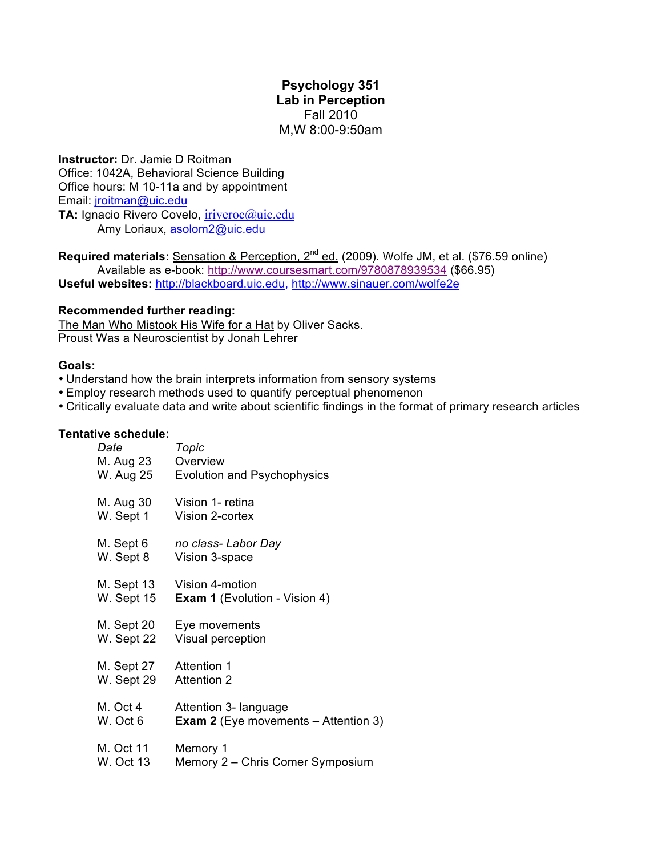# **Psychology 351 Lab in Perception** Fall 2010 M,W 8:00-9:50am

**Instructor:** Dr. Jamie D Roitman Office: 1042A, Behavioral Science Building Office hours: M 10-11a and by appointment Email: jroitman@uic.edu **TA:** Ignacio Rivero Covelo, iriveroc@uic.edu

Amy Loriaux, asolom2@uic.edu

**Required materials:** Sensation & Perception, 2<sup>nd</sup> ed. (2009). Wolfe JM, et al. (\$76.59 online) Available as e-book: http://www.coursesmart.com/9780878939534 (\$66.95) **Useful websites:** http://blackboard.uic.edu, http://www.sinauer.com/wolfe2e

# **Recommended further reading:**

The Man Who Mistook His Wife for a Hat by Oliver Sacks. Proust Was a Neuroscientist by Jonah Lehrer

## **Goals:**

- Understand how the brain interprets information from sensory systems
- Employ research methods used to quantify perceptual phenomenon
- Critically evaluate data and write about scientific findings in the format of primary research articles

### **Tentative schedule:**

| Date                                             | Topic                                         |
|--------------------------------------------------|-----------------------------------------------|
| M. Aug 23                                        | Overview                                      |
| W. Aug 25                                        | <b>Evolution and Psychophysics</b>            |
| M. Aug 30                                        | Vision 1- retina                              |
| W. Sept 1                                        | Vision 2-cortex                               |
| M. Sept 6                                        | no class- Labor Day                           |
| W. Sept 8                                        | Vision 3-space                                |
| M. Sept 13                                       | Vision 4-motion                               |
| W. Sept 15                                       | <b>Exam 1</b> (Evolution - Vision 4)          |
| M. Sept 20                                       | Eye movements                                 |
| W. Sept 22                                       | Visual perception                             |
| M. Sept 27 Attention 1<br>W. Sept 29 Attention 2 |                                               |
| M. Oct 4                                         | Attention 3- language                         |
| W. Oct 6                                         | <b>Exam 2</b> (Eye movements $-$ Attention 3) |
| M. Oct 11                                        | Memory 1                                      |
| <b>W. Oct 13</b>                                 | Memory 2 – Chris Comer Symposium              |